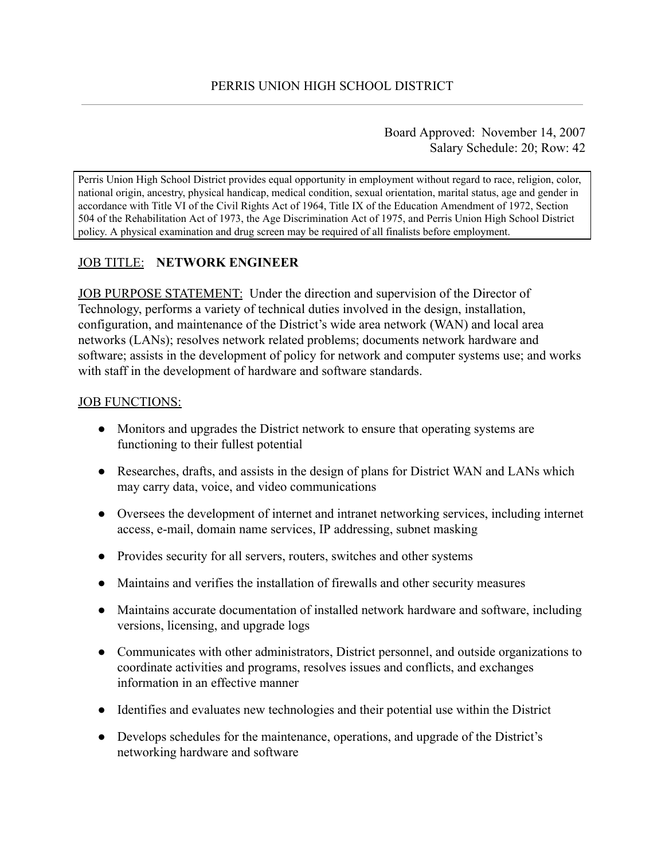Board Approved: November 14, 2007 Salary Schedule: 20; Row: 42

Perris Union High School District provides equal opportunity in employment without regard to race, religion, color, national origin, ancestry, physical handicap, medical condition, sexual orientation, marital status, age and gender in accordance with Title VI of the Civil Rights Act of 1964, Title IX of the Education Amendment of 1972, Section 504 of the Rehabilitation Act of 1973, the Age Discrimination Act of 1975, and Perris Union High School District policy. A physical examination and drug screen may be required of all finalists before employment.

# JOB TITLE: **NETWORK ENGINEER**

JOB PURPOSE STATEMENT: Under the direction and supervision of the Director of Technology, performs a variety of technical duties involved in the design, installation, configuration, and maintenance of the District's wide area network (WAN) and local area networks (LANs); resolves network related problems; documents network hardware and software; assists in the development of policy for network and computer systems use; and works with staff in the development of hardware and software standards.

#### JOB FUNCTIONS:

- Monitors and upgrades the District network to ensure that operating systems are functioning to their fullest potential
- Researches, drafts, and assists in the design of plans for District WAN and LANs which may carry data, voice, and video communications
- Oversees the development of internet and intranet networking services, including internet access, e-mail, domain name services, IP addressing, subnet masking
- Provides security for all servers, routers, switches and other systems
- Maintains and verifies the installation of firewalls and other security measures
- Maintains accurate documentation of installed network hardware and software, including versions, licensing, and upgrade logs
- Communicates with other administrators, District personnel, and outside organizations to coordinate activities and programs, resolves issues and conflicts, and exchanges information in an effective manner
- Identifies and evaluates new technologies and their potential use within the District
- Develops schedules for the maintenance, operations, and upgrade of the District's networking hardware and software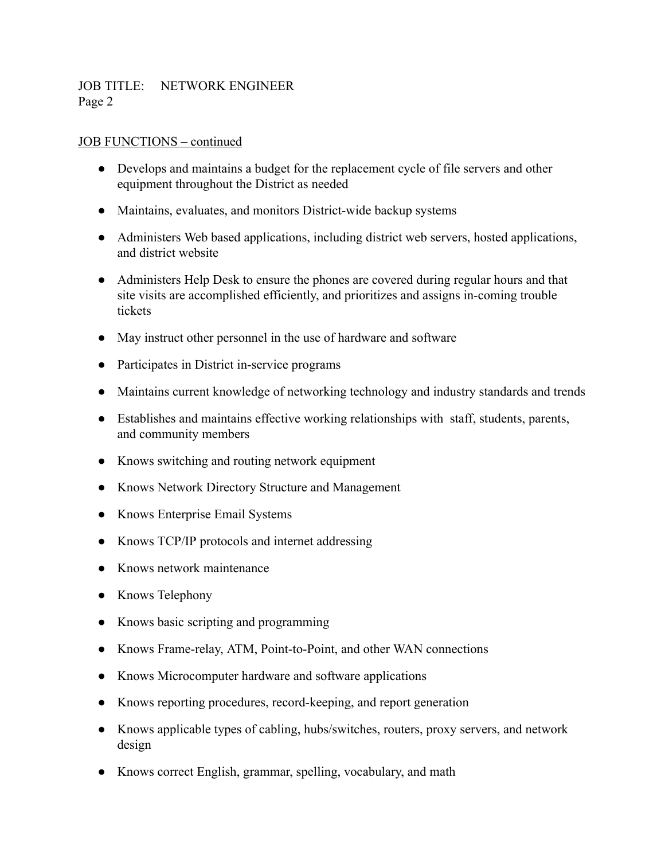### JOB TITLE: NETWORK ENGINEER Page 2

#### JOB FUNCTIONS – continued

- Develops and maintains a budget for the replacement cycle of file servers and other equipment throughout the District as needed
- Maintains, evaluates, and monitors District-wide backup systems
- Administers Web based applications, including district web servers, hosted applications, and district website
- Administers Help Desk to ensure the phones are covered during regular hours and that site visits are accomplished efficiently, and prioritizes and assigns in-coming trouble tickets
- May instruct other personnel in the use of hardware and software
- Participates in District in-service programs
- Maintains current knowledge of networking technology and industry standards and trends
- Establishes and maintains effective working relationships with staff, students, parents, and community members
- Knows switching and routing network equipment
- Knows Network Directory Structure and Management
- Knows Enterprise Email Systems
- Knows TCP/IP protocols and internet addressing
- Knows network maintenance
- Knows Telephony
- Knows basic scripting and programming
- Knows Frame-relay, ATM, Point-to-Point, and other WAN connections
- Knows Microcomputer hardware and software applications
- Knows reporting procedures, record-keeping, and report generation
- Knows applicable types of cabling, hubs/switches, routers, proxy servers, and network design
- Knows correct English, grammar, spelling, vocabulary, and math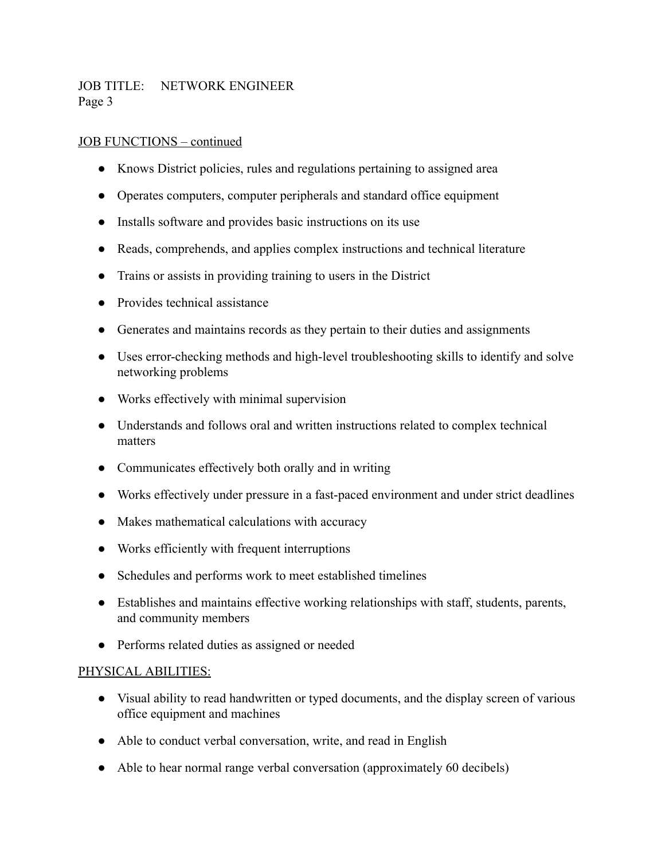# JOB TITLE: NETWORK ENGINEER Page 3

## JOB FUNCTIONS – continued

- Knows District policies, rules and regulations pertaining to assigned area
- Operates computers, computer peripherals and standard office equipment
- Installs software and provides basic instructions on its use
- Reads, comprehends, and applies complex instructions and technical literature
- Trains or assists in providing training to users in the District
- Provides technical assistance
- Generates and maintains records as they pertain to their duties and assignments
- Uses error-checking methods and high-level troubleshooting skills to identify and solve networking problems
- Works effectively with minimal supervision
- Understands and follows oral and written instructions related to complex technical matters
- Communicates effectively both orally and in writing
- Works effectively under pressure in a fast-paced environment and under strict deadlines
- Makes mathematical calculations with accuracy
- Works efficiently with frequent interruptions
- Schedules and performs work to meet established timelines
- Establishes and maintains effective working relationships with staff, students, parents, and community members
- Performs related duties as assigned or needed

## PHYSICAL ABILITIES:

- Visual ability to read handwritten or typed documents, and the display screen of various office equipment and machines
- Able to conduct verbal conversation, write, and read in English
- Able to hear normal range verbal conversation (approximately 60 decibels)